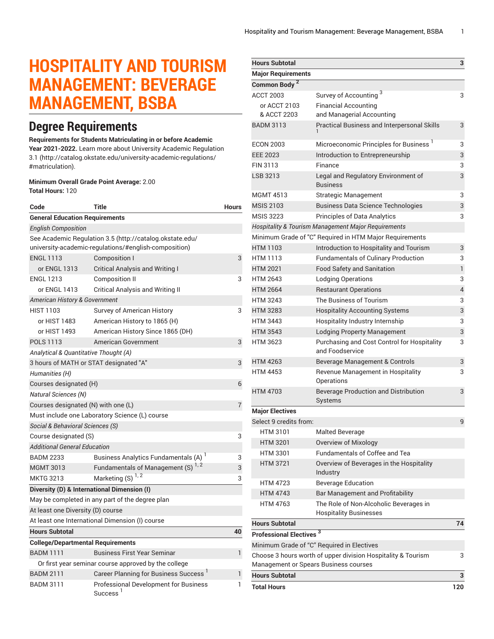# **HOSPITALITY AND TOURISM MANAGEMENT: BEVERAGE MANAGEMENT, BSBA**

### **Degree Requirements**

**Requirements for Students Matriculating in or before Academic Year 2021-2022.** Learn more about University Academic [Regulation](http://catalog.okstate.edu/university-academic-regulations/#matriculation) [3.1](http://catalog.okstate.edu/university-academic-regulations/#matriculation) ([http://catalog.okstate.edu/university-academic-regulations/](http://catalog.okstate.edu/university-academic-regulations/#matriculation) [#matriculation\)](http://catalog.okstate.edu/university-academic-regulations/#matriculation).

#### **Minimum Overall Grade Point Average:** 2.00 **Total Hours:** 120

| Code                                                                                                              | <b>Title</b>                                                  | <b>Hours</b> |  |
|-------------------------------------------------------------------------------------------------------------------|---------------------------------------------------------------|--------------|--|
| <b>General Education Requirements</b>                                                                             |                                                               |              |  |
| <b>English Composition</b>                                                                                        |                                                               |              |  |
| See Academic Regulation 3.5 (http://catalog.okstate.edu/<br>university-academic-regulations/#english-composition) |                                                               |              |  |
| <b>ENGL 1113</b>                                                                                                  | <b>Composition I</b>                                          | 3            |  |
| or ENGL 1313                                                                                                      | <b>Critical Analysis and Writing I</b>                        |              |  |
| <b>ENGL 1213</b>                                                                                                  | <b>Composition II</b>                                         | 3            |  |
| or ENGL 1413                                                                                                      | <b>Critical Analysis and Writing II</b>                       |              |  |
| <b>American History &amp; Government</b>                                                                          |                                                               |              |  |
| <b>HIST 1103</b>                                                                                                  | Survey of American History                                    | 3            |  |
| or HIST 1483                                                                                                      | American History to 1865 (H)                                  |              |  |
| or HIST 1493                                                                                                      | American History Since 1865 (DH)                              |              |  |
| <b>POLS 1113</b>                                                                                                  | American Government                                           | 3            |  |
| Analytical & Quantitative Thought (A)                                                                             |                                                               |              |  |
| 3 hours of MATH or STAT designated "A"                                                                            |                                                               | 3            |  |
| Humanities (H)                                                                                                    |                                                               |              |  |
| Courses designated (H)                                                                                            |                                                               |              |  |
| <b>Natural Sciences (N)</b>                                                                                       |                                                               |              |  |
| Courses designated (N) with one (L)                                                                               |                                                               | 7            |  |
| Must include one Laboratory Science (L) course                                                                    |                                                               |              |  |
| Social & Behavioral Sciences (S)                                                                                  |                                                               |              |  |
| Course designated (S)                                                                                             |                                                               |              |  |
| <b>Additional General Education</b>                                                                               |                                                               |              |  |
| <b>BADM 2233</b>                                                                                                  | Business Analytics Fundamentals (A) <sup>1</sup>              | 3            |  |
| <b>MGMT 3013</b>                                                                                                  | Fundamentals of Management (S) <sup>1,2</sup>                 | 3            |  |
| <b>MKTG 3213</b>                                                                                                  | Marketing (S)                                                 | 3            |  |
|                                                                                                                   | Diversity (D) & International Dimension (I)                   |              |  |
| May be completed in any part of the degree plan                                                                   |                                                               |              |  |
| At least one Diversity (D) course                                                                                 |                                                               |              |  |
|                                                                                                                   | At least one International Dimension (I) course               |              |  |
| <b>Hours Subtotal</b>                                                                                             |                                                               | 40           |  |
| <b>College/Departmental Requirements</b>                                                                          |                                                               |              |  |
| <b>BADM 1111</b>                                                                                                  | <b>Business First Year Seminar</b>                            | 1            |  |
| Or first year seminar course approved by the college                                                              |                                                               |              |  |
| <b>BADM 2111</b>                                                                                                  | Career Planning for Business Success <sup>1</sup>             | 1            |  |
| <b>BADM 3111</b>                                                                                                  | Professional Development for Business<br>Success <sup>1</sup> | 1            |  |

| <b>Hours Subtotal</b>               |                                                                                                       | 3              |
|-------------------------------------|-------------------------------------------------------------------------------------------------------|----------------|
| <b>Major Requirements</b>           |                                                                                                       |                |
| Common Body <sup>2</sup>            |                                                                                                       |                |
| <b>ACCT 2003</b>                    | Survey of Accounting <sup>3</sup>                                                                     | 3              |
| or ACCT 2103                        | <b>Financial Accounting</b>                                                                           |                |
| & ACCT 2203                         | and Managerial Accounting                                                                             |                |
| <b>BADM 3113</b>                    | <b>Practical Business and Interpersonal Skills</b>                                                    | 3              |
| <b>ECON 2003</b>                    | Microeconomic Principles for Business <sup>1</sup>                                                    | 3              |
| <b>EEE 2023</b>                     | Introduction to Entrepreneurship                                                                      | 3              |
| FIN 3113                            | Finance                                                                                               | 3              |
| LSB 3213                            | Legal and Regulatory Environment of<br><b>Business</b>                                                | 3              |
| <b>MGMT 4513</b>                    | Strategic Management                                                                                  | 3              |
| <b>MSIS 2103</b>                    | <b>Business Data Science Technologies</b>                                                             | 3              |
| <b>MSIS 3223</b>                    | <b>Principles of Data Analytics</b>                                                                   | 3              |
|                                     | Hospitality & Tourism Management Major Requirements                                                   |                |
|                                     | Minimum Grade of "C" Required in HTM Major Requirements                                               |                |
| <b>HTM 1103</b>                     | Introduction to Hospitality and Tourism                                                               | 3              |
| <b>HTM 1113</b>                     | <b>Fundamentals of Culinary Production</b>                                                            | 3              |
| <b>HTM 2021</b>                     | <b>Food Safety and Sanitation</b>                                                                     | 1              |
| <b>HTM 2643</b>                     | <b>Lodging Operations</b>                                                                             | 3              |
| <b>HTM 2664</b>                     | <b>Restaurant Operations</b>                                                                          | $\overline{4}$ |
| <b>HTM 3243</b>                     | The Business of Tourism                                                                               | 3              |
| <b>HTM 3283</b>                     | <b>Hospitality Accounting Systems</b>                                                                 | 3              |
| <b>HTM 3443</b>                     | Hospitality Industry Internship                                                                       | 3              |
| <b>HTM 3543</b>                     | Lodging Property Management                                                                           | 3              |
| <b>HTM 3623</b>                     | Purchasing and Cost Control for Hospitality<br>and Foodservice                                        | 3              |
| <b>HTM 4263</b>                     | Beverage Management & Controls                                                                        | 3              |
| <b>HTM 4453</b>                     | Revenue Management in Hospitality<br>Operations                                                       | 3              |
| <b>HTM 4703</b>                     | <b>Beverage Production and Distribution</b><br>Systems                                                | 3              |
| <b>Major Electives</b>              |                                                                                                       |                |
| Select 9 credits from:              |                                                                                                       | 9              |
| <b>HTM 3101</b>                     | <b>Malted Beverage</b>                                                                                |                |
| <b>HTM 3201</b>                     | Overview of Mixology                                                                                  |                |
| <b>HTM 3301</b>                     | <b>Fundamentals of Coffee and Tea</b>                                                                 |                |
| <b>HTM 3721</b>                     | Overview of Beverages in the Hospitality<br>Industry                                                  |                |
| <b>HTM 4723</b>                     | <b>Beverage Education</b>                                                                             |                |
| <b>HTM 4743</b>                     | Bar Management and Profitability                                                                      |                |
| <b>HTM 4763</b>                     | The Role of Non-Alcoholic Beverages in<br><b>Hospitality Businesses</b>                               |                |
| <b>Hours Subtotal</b>               |                                                                                                       | 74             |
| Professional Electives <sup>3</sup> |                                                                                                       |                |
|                                     | Minimum Grade of "C" Required in Electives                                                            |                |
|                                     | Choose 3 hours worth of upper division Hospitality & Tourism<br>Management or Spears Business courses | 3              |
| <b>Hours Subtotal</b>               |                                                                                                       | 3              |
| <b>Total Hours</b>                  |                                                                                                       | 120            |